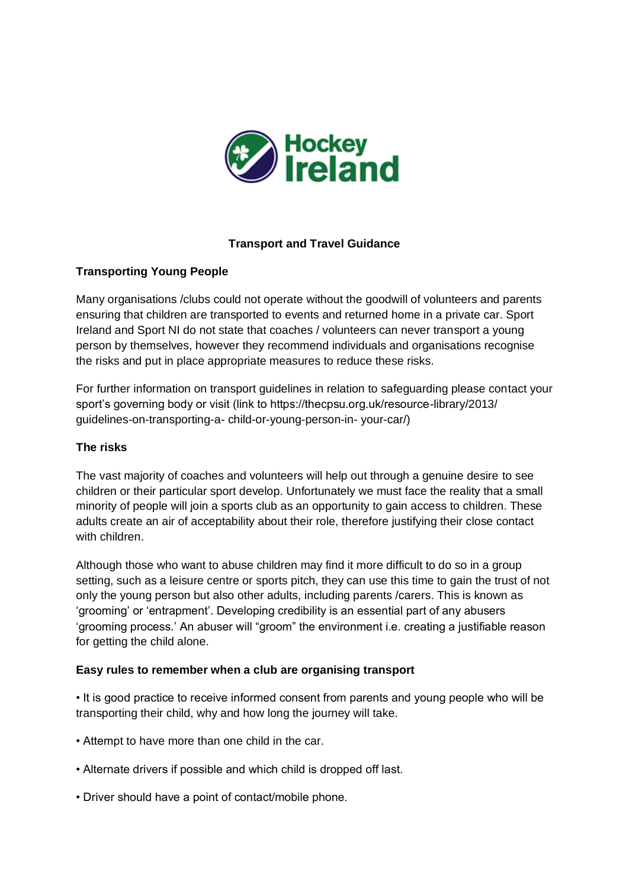

# **Transport and Travel Guidance**

# **Transporting Young People**

Many organisations /clubs could not operate without the goodwill of volunteers and parents ensuring that children are transported to events and returned home in a private car. Sport Ireland and Sport NI do not state that coaches / volunteers can never transport a young person by themselves, however they recommend individuals and organisations recognise the risks and put in place appropriate measures to reduce these risks.

For further information on transport guidelines in relation to safeguarding please contact your sport's governing body or visit (link to https://thecpsu.org.uk/resource-library/2013/ guidelines-on-transporting-a- child-or-young-person-in- your-car/)

## **The risks**

The vast majority of coaches and volunteers will help out through a genuine desire to see children or their particular sport develop. Unfortunately we must face the reality that a small minority of people will join a sports club as an opportunity to gain access to children. These adults create an air of acceptability about their role, therefore justifying their close contact with children.

Although those who want to abuse children may find it more difficult to do so in a group setting, such as a leisure centre or sports pitch, they can use this time to gain the trust of not only the young person but also other adults, including parents /carers. This is known as 'grooming' or 'entrapment'. Developing credibility is an essential part of any abusers 'grooming process.' An abuser will "groom" the environment i.e. creating a justifiable reason for getting the child alone.

## **Easy rules to remember when a club are organising transport**

• It is good practice to receive informed consent from parents and young people who will be transporting their child, why and how long the journey will take.

- Attempt to have more than one child in the car.
- Alternate drivers if possible and which child is dropped off last.
- Driver should have a point of contact/mobile phone.